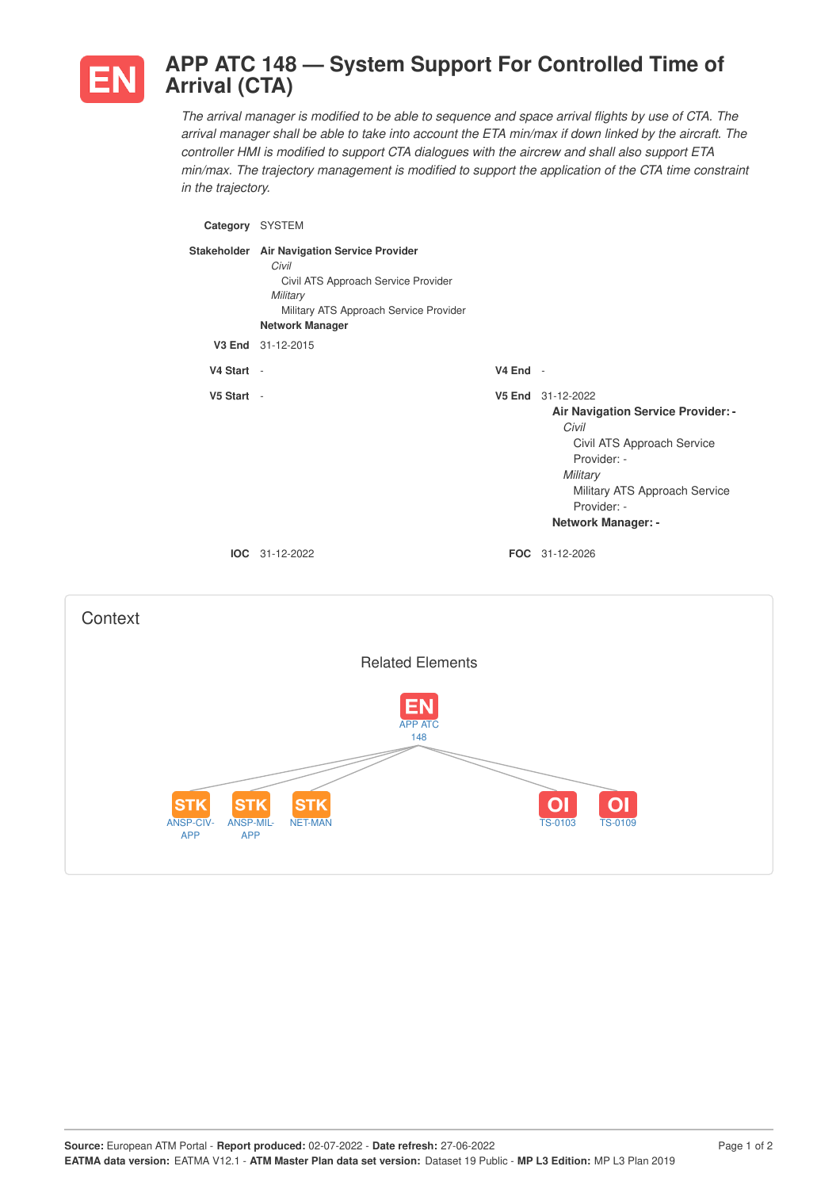

## **APP ATC 148 — System Support For Controlled Time of Arrival (CTA)**

The arrival manager is modified to be able to sequence and space arrival flights by use of CTA. The arrival manager shall be able to take into account the ETA min/max if down linked by the aircraft. The *controller HMI is modified to support CTA dialogues with the aircrew and shall also support ETA min/max. The trajectory management is modified to support the application of the CTA time constraint in the trajectory.*